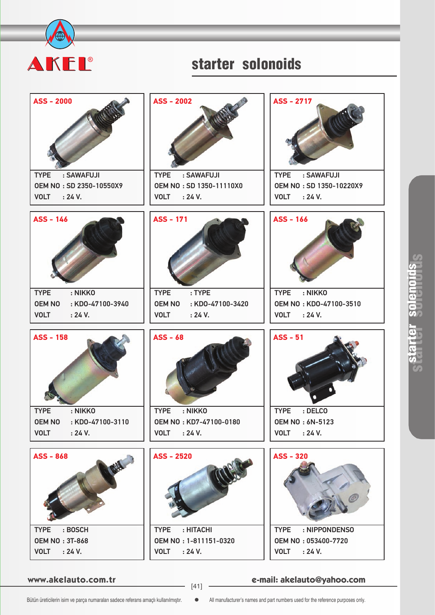

## starter solonoids



**www.akelauto.com.tr e-mail: akelauto@yahoo.com** [41]